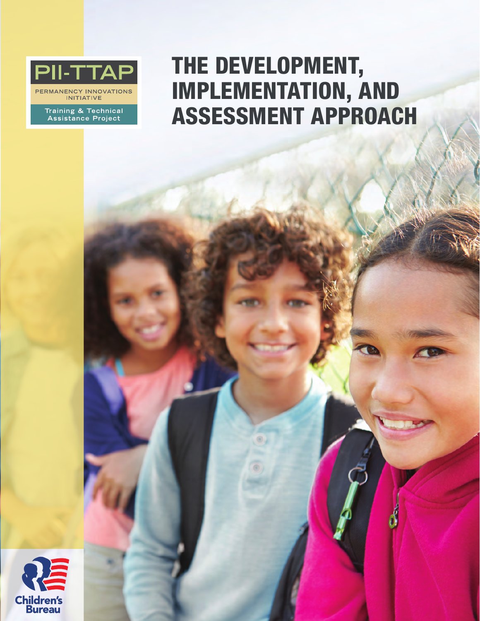

PERMANENCY INNOVATIONS<br>INITIATIVE

Training & Technical<br>Assistance Project

# THE DEVELOPMENT, IMPLEMENTATION, AND ASSESSMENT APPROACH

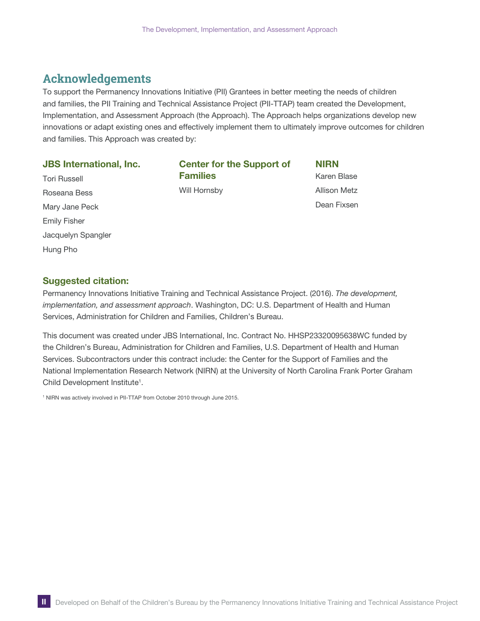## **Acknowledgements**

To support the Permanency Innovations Initiative (PII) Grantees in better meeting the needs of children and families, the PII Training and Technical Assistance Project (PII-TTAP) team created the Development, Implementation, and Assessment Approach (the Approach). The Approach helps organizations develop new innovations or adapt existing ones and effectively implement them to ultimately improve outcomes for children and families. This Approach was created by:

#### JBS international, inc.

Tori Russell Roseana Bess Mary Jane Peck Emily Fisher Jacquelyn Spangler Hung Pho

Center for the Support of Families Will Hornsby

NiRN Karen Blase Allison Metz Dean Fixsen

#### Suggested citation:

Permanency Innovations Initiative Training and Technical Assistance Project. (2016). *The development, implementation, and assessment approach*. Washington, DC: U.S. Department of Health and Human Services, Administration for Children and Families, Children's Bureau.

This document was created under JBS International, Inc. Contract No. HHSP23320095638WC funded by the Children's Bureau, Administration for Children and Families, U.S. Department of Health and Human Services. Subcontractors under this contract include: the Center for the Support of Families and the National Implementation Research Network (NIRN) at the University of North Carolina Frank Porter Graham Child Development Institute<sup>1</sup>.

<sup>1</sup> NIRN was actively involved in PII-TTAP from October 2010 through June 2015.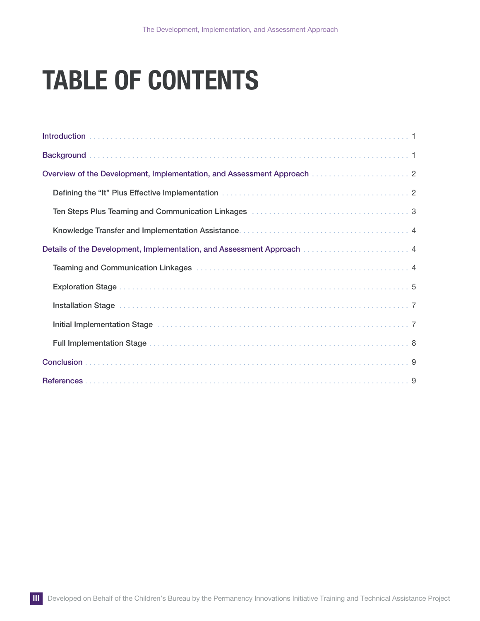# TABLE OF CONTENTS

| Overview of the Development, Implementation, and Assessment Approach [11] Overview of the Development, Implementation, and Assessment Approach |
|------------------------------------------------------------------------------------------------------------------------------------------------|
|                                                                                                                                                |
| Ten Steps Plus Teaming and Communication Linkages <b>constructs of Steps Plus Teaming</b> 3                                                    |
|                                                                                                                                                |
| Details of the Development, Implementation, and Assessment Approach manufacture of the Development, 1                                          |
|                                                                                                                                                |
|                                                                                                                                                |
|                                                                                                                                                |
| Initial Implementation Stage (and according to the control of the control of the control of the control of the                                 |
|                                                                                                                                                |
|                                                                                                                                                |
|                                                                                                                                                |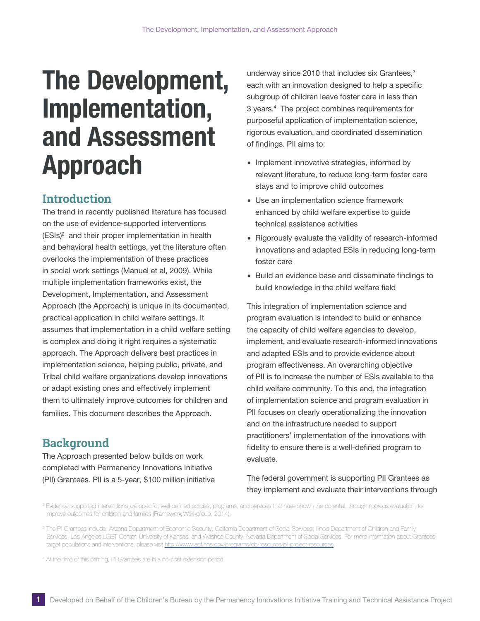# <span id="page-3-0"></span>The Development, Implementation, and Assessment Approach

# **Introduction**

The trend in recently published literature has focused on the use of evidence-supported interventions (ESIs)2 and their proper implementation in health and behavioral health settings, yet the literature often overlooks the implementation of these practices in social work settings (Manuel et al, 2009). While multiple implementation frameworks exist, the Development, Implementation, and Assessment Approach (the Approach) is unique in its documented, practical application in child welfare settings. It assumes that implementation in a child welfare setting is complex and doing it right requires a systematic approach. The Approach delivers best practices in implementation science, helping public, private, and Tribal child welfare organizations develop innovations or adapt existing ones and effectively implement them to ultimately improve outcomes for children and families. This document describes the Approach.

# **Background**

The Approach presented below builds on work completed with Permanency Innovations Initiative (PII) Grantees. PII is a 5-year, \$100 million initiative

underway since 2010 that includes six Grantees, $3$ each with an innovation designed to help a specific subgroup of children leave foster care in less than 3 years.4 The project combines requirements for purposeful application of implementation science, rigorous evaluation, and coordinated dissemination of findings. PII aims to:

- ∙ Implement innovative strategies, informed by relevant literature, to reduce long-term foster care stays and to improve child outcomes
- ∙ Use an implementation science framework enhanced by child welfare expertise to guide technical assistance activities
- ∙ Rigorously evaluate the validity of research-informed innovations and adapted ESIs in reducing long-term foster care
- ∙ Build an evidence base and disseminate findings to build knowledge in the child welfare field

This integration of implementation science and program evaluation is intended to build or enhance the capacity of child welfare agencies to develop, implement, and evaluate research-informed innovations and adapted ESIs and to provide evidence about program effectiveness. An overarching objective of PII is to increase the number of ESIs available to the child welfare community. To this end, the integration of implementation science and program evaluation in PII focuses on clearly operationalizing the innovation and on the infrastructure needed to support practitioners' implementation of the innovations with fidelity to ensure there is a well-defined program to evaluate.

## The federal government is supporting PII Grantees as they implement and evaluate their interventions through

4 At the time of this printing, PII Grantees are in a no-cost extension period.

<sup>&</sup>lt;sup>2</sup> Evidence-supported interventions are specific, well-defined policies, programs, and services that have shown the potential, through rigorous evaluation, to improve outcomes for children and families (Framework Workgroup, 2014).

<sup>&</sup>lt;sup>3</sup> The PII Grantees include: Arizona Department of Economic Security; Califomia Department of Social Services; Illinois Department of Children and Family Services; Los Angeles LGBT Center; University of Kansas; and Washoe County, Nevada Department of Social Services. For more information about Grantees' target populations and interventions, please visit http://www.acf.hhs.gov/programs/cb/resource/pii-project-resources.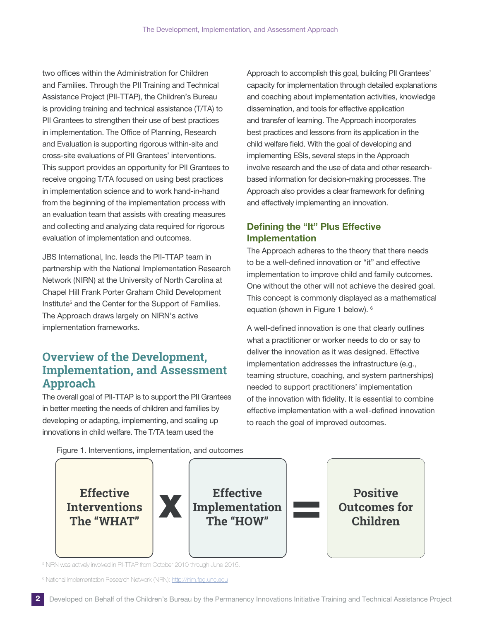<span id="page-4-0"></span>two offices within the Administration for Children and Families. Through the PII Training and Technical Assistance Project (PII-TTAP), the Children's Bureau is providing training and technical assistance (T/TA) to PII Grantees to strengthen their use of best practices in implementation. The Office of Planning, Research and Evaluation is supporting rigorous within-site and cross-site evaluations of PII Grantees' interventions. This support provides an opportunity for PII Grantees to receive ongoing T/TA focused on using best practices in implementation science and to work hand-in-hand from the beginning of the implementation process with an evaluation team that assists with creating measures and collecting and analyzing data required for rigorous evaluation of implementation and outcomes.

JBS International, Inc. leads the PII-TTAP team in partnership with the National Implementation Research Network (NIRN) at the University of North Carolina at Chapel Hill Frank Porter Graham Child Development Institute<sup>5</sup> and the Center for the Support of Families. The Approach draws largely on NIRN's active implementation frameworks.

## **Overview of the Development, Implementation, and Assessment Approach**

The overall goal of PII-TTAP is to support the PII Grantees in better meeting the needs of children and families by developing or adapting, implementing, and scaling up innovations in child welfare. The T/TA team used the

Approach to accomplish this goal, building PII Grantees' capacity for implementation through detailed explanations and coaching about implementation activities, knowledge dissemination, and tools for effective application and transfer of learning. The Approach incorporates best practices and lessons from its application in the child welfare field. With the goal of developing and implementing ESIs, several steps in the Approach involve research and the use of data and other researchbased information for decision-making processes. The Approach also provides a clear framework for defining and effectively implementing an innovation.

## Defining the "it" Plus Effective implementation

The Approach adheres to the theory that there needs to be a well-defined innovation or "it" and effective implementation to improve child and family outcomes. One without the other will not achieve the desired goal. This concept is commonly displayed as a mathematical equation (shown in Figure 1 below). 6

A well-defined innovation is one that clearly outlines what a practitioner or worker needs to do or say to deliver the innovation as it was designed. Effective implementation addresses the infrastructure (e.g., teaming structure, coaching, and system partnerships) needed to support practitioners' implementation of the innovation with fidelity. It is essential to combine effective implementation with a well-defined innovation to reach the goal of improved outcomes.

Figure 1. Interventions, implementation, and outcomes



<sup>5</sup> NIRN was actively involved in PII-TTAP from October 2010 through June 2015.

<sup>6</sup> National Implementation Research Network (NIRN): http://nirn.fpg.unc.edu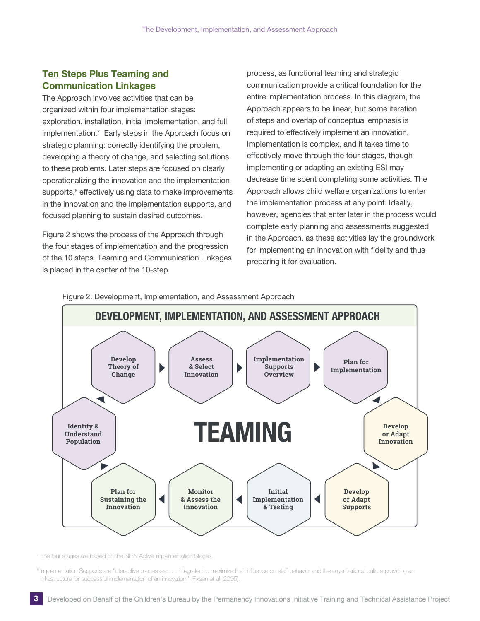## <span id="page-5-0"></span>Ten Steps Plus Teaming and Communication Linkages

The Approach involves activities that can be organized within four implementation stages: exploration, installation, initial implementation, and full implementation.7 Early steps in the Approach focus on strategic planning: correctly identifying the problem, developing a theory of change, and selecting solutions to these problems. Later steps are focused on clearly operationalizing the innovation and the implementation supports,<sup>8</sup> effectively using data to make improvements in the innovation and the implementation supports, and focused planning to sustain desired outcomes.

Figure 2 shows the process of the Approach through the four stages of implementation and the progression of the 10 steps. Teaming and Communication Linkages is placed in the center of the 10-step

process, as functional teaming and strategic communication provide a critical foundation for the entire implementation process. In this diagram, the Approach appears to be linear, but some iteration of steps and overlap of conceptual emphasis is required to effectively implement an innovation. Implementation is complex, and it takes time to effectively move through the four stages, though implementing or adapting an existing ESI may decrease time spent completing some activities. The Approach allows child welfare organizations to enter the implementation process at any point. Ideally, however, agencies that enter later in the process would complete early planning and assessments suggested in the Approach, as these activities lay the groundwork for implementing an innovation with fidelity and thus preparing it for evaluation.

Figure 2. Development, Implementation, and Assessment Approach



<sup>7</sup> The four stages are based on the NIRN Active Implementation Stages.

<sup>8</sup> Implementation Supports are "Interactive processes . . . integrated to maximize their influence on staff behavior and the organizational culture providing an infrastructure for successful implementation of an innovation." (Fixsen et al, 2005).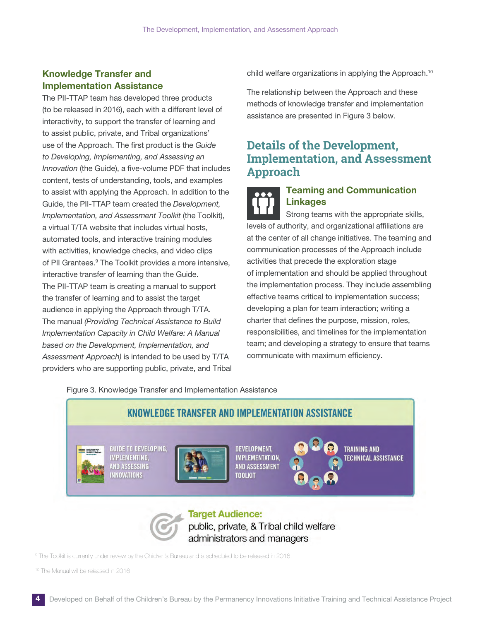## <span id="page-6-0"></span>Knowledge Transfer and implementation Assistance

The PII-TTAP team has developed three products (to be released in 2016), each with a different level of interactivity, to support the transfer of learning and to assist public, private, and Tribal organizations' use of the Approach. The first product is the *Guide to Developing, Implementing, and Assessing an Innovation* (the Guide), a five-volume PDF that includes content, tests of understanding, tools, and examples to assist with applying the Approach. In addition to the Guide, the PII-TTAP team created the *Development, Implementation, and Assessment Toolkit* (the Toolkit), a virtual T/TA website that includes virtual hosts, automated tools, and interactive training modules with activities, knowledge checks, and video clips of PII Grantees.<sup>9</sup> The Toolkit provides a more intensive, interactive transfer of learning than the Guide. The PII-TTAP team is creating a manual to support the transfer of learning and to assist the target audience in applying the Approach through T/TA. The manual *(Providing Technical Assistance to Build Implementation Capacity in Child Welfare: A Manual based on the Development, Implementation, and Assessment Approach)* is intended to be used by T/TA providers who are supporting public, private, and Tribal child welfare organizations in applying the Approach.<sup>10</sup>

The relationship between the Approach and these methods of knowledge transfer and implementation assistance are presented in Figure 3 below.

# **Details of the Development, Implementation, and Assessment Approach**



### Teaming and Communication Linkages

Strong teams with the appropriate skills, levels of authority, and organizational affiliations are at the center of all change initiatives. The teaming and communication processes of the Approach include activities that precede the exploration stage of implementation and should be applied throughout the implementation process. They include assembling effective teams critical to implementation success; developing a plan for team interaction; writing a charter that defines the purpose, mission, roles, responsibilities, and timelines for the implementation team; and developing a strategy to ensure that teams communicate with maximum efficiency.

Figure 3. Knowledge Transfer and Implementation Assistance



9 The Toolkit is currently under review by the Children's Bureau and is scheduled to be released in 2016.

10 The Manual will be released in 2016.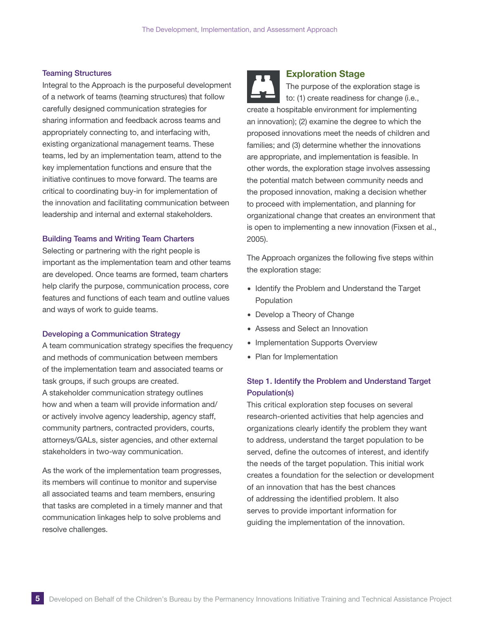#### <span id="page-7-0"></span>Teaming Structures

Integral to the Approach is the purposeful development of a network of teams (teaming structures) that follow carefully designed communication strategies for sharing information and feedback across teams and appropriately connecting to, and interfacing with, existing organizational management teams. These teams, led by an implementation team, attend to the key implementation functions and ensure that the initiative continues to move forward. The teams are critical to coordinating buy-in for implementation of the innovation and facilitating communication between leadership and internal and external stakeholders.

#### Building Teams and Writing Team Charters

Selecting or partnering with the right people is important as the implementation team and other teams are developed. Once teams are formed, team charters help clarify the purpose, communication process, core features and functions of each team and outline values and ways of work to guide teams.

#### Developing a Communication Strategy

A team communication strategy specifies the frequency and methods of communication between members of the implementation team and associated teams or task groups, if such groups are created. A stakeholder communication strategy outlines how and when a team will provide information and/ or actively involve agency leadership, agency staff, community partners, contracted providers, courts, attorneys/GALs, sister agencies, and other external stakeholders in two-way communication.

As the work of the implementation team progresses, its members will continue to monitor and supervise all associated teams and team members, ensuring that tasks are completed in a timely manner and that communication linkages help to solve problems and resolve challenges.



#### Exploration Stage

The purpose of the exploration stage is to: (1) create readiness for change (i.e., create a hospitable environment for implementing an innovation); (2) examine the degree to which the proposed innovations meet the needs of children and families; and (3) determine whether the innovations are appropriate, and implementation is feasible. In other words, the exploration stage involves assessing the potential match between community needs and the proposed innovation, making a decision whether to proceed with implementation, and planning for organizational change that creates an environment that is open to implementing a new innovation (Fixsen et al., 2005).

The Approach organizes the following five steps within the exploration stage:

- ∙ Identify the Problem and Understand the Target Population
- ∙ Develop a Theory of Change
- Assess and Select an Innovation
- ∙ Implementation Supports Overview
- ∙ Plan for Implementation

### Step 1. Identify the Problem and Understand Target Population(s)

This critical exploration step focuses on several research-oriented activities that help agencies and organizations clearly identify the problem they want to address, understand the target population to be served, define the outcomes of interest, and identify the needs of the target population. This initial work creates a foundation for the selection or development of an innovation that has the best chances of addressing the identified problem. It also serves to provide important information for guiding the implementation of the innovation.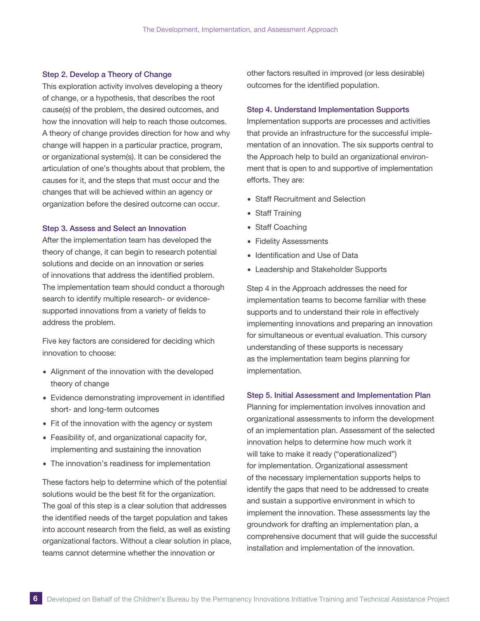#### Step 2. Develop a Theory of Change

This exploration activity involves developing a theory of change, or a hypothesis, that describes the root cause(s) of the problem, the desired outcomes, and how the innovation will help to reach those outcomes. A theory of change provides direction for how and why change will happen in a particular practice, program, or organizational system(s). It can be considered the articulation of one's thoughts about that problem, the causes for it, and the steps that must occur and the changes that will be achieved within an agency or organization before the desired outcome can occur.

#### Step 3. Assess and Select an Innovation

After the implementation team has developed the theory of change, it can begin to research potential solutions and decide on an innovation or series of innovations that address the identified problem. The implementation team should conduct a thorough search to identify multiple research- or evidencesupported innovations from a variety of fields to address the problem.

Five key factors are considered for deciding which innovation to choose:

- ∙ Alignment of the innovation with the developed theory of change
- ∙ Evidence demonstrating improvement in identified short- and long-term outcomes
- ∙ Fit of the innovation with the agency or system
- ∙ Feasibility of, and organizational capacity for, implementing and sustaining the innovation
- ∙ The innovation's readiness for implementation

These factors help to determine which of the potential solutions would be the best fit for the organization. The goal of this step is a clear solution that addresses the identified needs of the target population and takes into account research from the field, as well as existing organizational factors. Without a clear solution in place, teams cannot determine whether the innovation or

other factors resulted in improved (or less desirable) outcomes for the identified population.

#### Step 4. Understand Implementation Supports

Implementation supports are processes and activities that provide an infrastructure for the successful implementation of an innovation. The six supports central to the Approach help to build an organizational environment that is open to and supportive of implementation efforts. They are:

- ∙ Staff Recruitment and Selection
- ∙ Staff Training
- ∙ Staff Coaching
- ∙ Fidelity Assessments
- ∙ Identification and Use of Data
- ∙ Leadership and Stakeholder Supports

Step 4 in the Approach addresses the need for implementation teams to become familiar with these supports and to understand their role in effectively implementing innovations and preparing an innovation for simultaneous or eventual evaluation. This cursory understanding of these supports is necessary as the implementation team begins planning for implementation.

#### Step 5. Initial Assessment and Implementation Plan

Planning for implementation involves innovation and organizational assessments to inform the development of an implementation plan. Assessment of the selected innovation helps to determine how much work it will take to make it ready ("operationalized") for implementation. Organizational assessment of the necessary implementation supports helps to identify the gaps that need to be addressed to create and sustain a supportive environment in which to implement the innovation. These assessments lay the groundwork for drafting an implementation plan, a comprehensive document that will guide the successful installation and implementation of the innovation.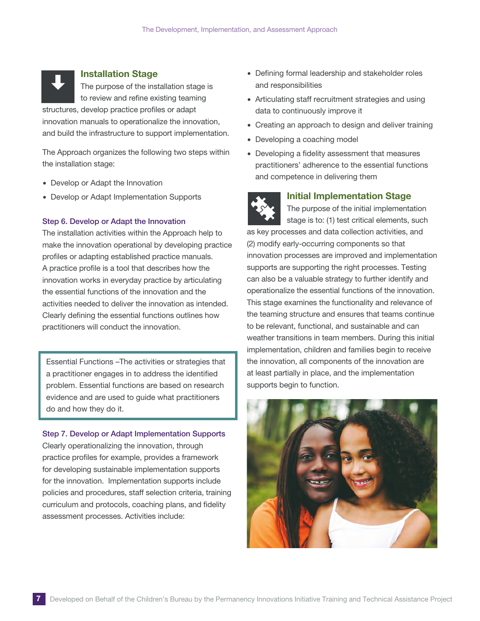<span id="page-9-0"></span>

#### installation Stage

The purpose of the installation stage is to review and refine existing teaming structures, develop practice profiles or adapt innovation manuals to operationalize the innovation, and build the infrastructure to support implementation.

The Approach organizes the following two steps within the installation stage:

- ∙ Develop or Adapt the Innovation
- ∙ Develop or Adapt Implementation Supports

#### Step 6. Develop or Adapt the Innovation

The installation activities within the Approach help to make the innovation operational by developing practice profiles or adapting established practice manuals. A practice profile is a tool that describes how the innovation works in everyday practice by articulating the essential functions of the innovation and the activities needed to deliver the innovation as intended. Clearly defining the essential functions outlines how practitioners will conduct the innovation.

Essential Functions –The activities or strategies that a practitioner engages in to address the identified problem. Essential functions are based on research evidence and are used to guide what practitioners do and how they do it.

Step 7. Develop or Adapt Implementation Supports

Clearly operationalizing the innovation, through practice profiles for example, provides a framework for developing sustainable implementation supports for the innovation. Implementation supports include policies and procedures, staff selection criteria, training curriculum and protocols, coaching plans, and fidelity assessment processes. Activities include:

- ∙ Defining formal leadership and stakeholder roles and responsibilities
- ∙ Articulating staff recruitment strategies and using data to continuously improve it
- ∙ Creating an approach to design and deliver training
- ∙ Developing a coaching model
- ∙ Developing a fidelity assessment that measures practitioners' adherence to the essential functions and competence in delivering them



#### Initial Implementation Stage

The purpose of the initial implementation stage is to: (1) test critical elements, such

as key processes and data collection activities, and (2) modify early-occurring components so that innovation processes are improved and implementation supports are supporting the right processes. Testing can also be a valuable strategy to further identify and operationalize the essential functions of the innovation. This stage examines the functionality and relevance of the teaming structure and ensures that teams continue to be relevant, functional, and sustainable and can weather transitions in team members. During this initial implementation, children and families begin to receive the innovation, all components of the innovation are at least partially in place, and the implementation supports begin to function.

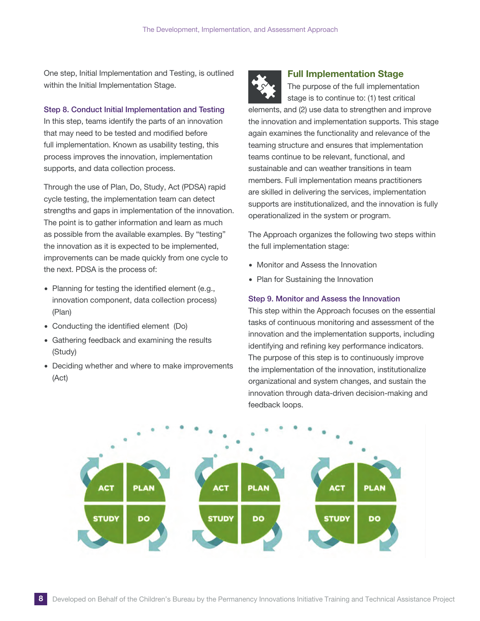<span id="page-10-0"></span>One step, Initial Implementation and Testing, is outlined within the Initial Implementation Stage.

#### Step 8. Conduct Initial Implementation and Testing

In this step, teams identify the parts of an innovation that may need to be tested and modified before full implementation. Known as usability testing, this process improves the innovation, implementation supports, and data collection process.

Through the use of Plan, Do, Study, Act (PDSA) rapid cycle testing, the implementation team can detect strengths and gaps in implementation of the innovation. The point is to gather information and learn as much as possible from the available examples. By "testing" the innovation as it is expected to be implemented, improvements can be made quickly from one cycle to the next. PDSA is the process of:

- ∙ Planning for testing the identified element (e.g., innovation component, data collection process) (Plan)
- ∙ Conducting the identified element (Do)
- ∙ Gathering feedback and examining the results (Study)
- ∙ Deciding whether and where to make improvements (Act)



#### Full implementation Stage

The purpose of the full implementation stage is to continue to: (1) test critical elements, and (2) use data to strengthen and improve the innovation and implementation supports. This stage again examines the functionality and relevance of the teaming structure and ensures that implementation teams continue to be relevant, functional, and sustainable and can weather transitions in team members. Full implementation means practitioners are skilled in delivering the services, implementation supports are institutionalized, and the innovation is fully operationalized in the system or program.

The Approach organizes the following two steps within the full implementation stage:

- ∙ Monitor and Assess the Innovation
- ∙ Plan for Sustaining the Innovation

#### Step 9. Monitor and Assess the Innovation

This step within the Approach focuses on the essential tasks of continuous monitoring and assessment of the innovation and the implementation supports, including identifying and refining key performance indicators. The purpose of this step is to continuously improve the implementation of the innovation, institutionalize organizational and system changes, and sustain the innovation through data-driven decision-making and feedback loops.